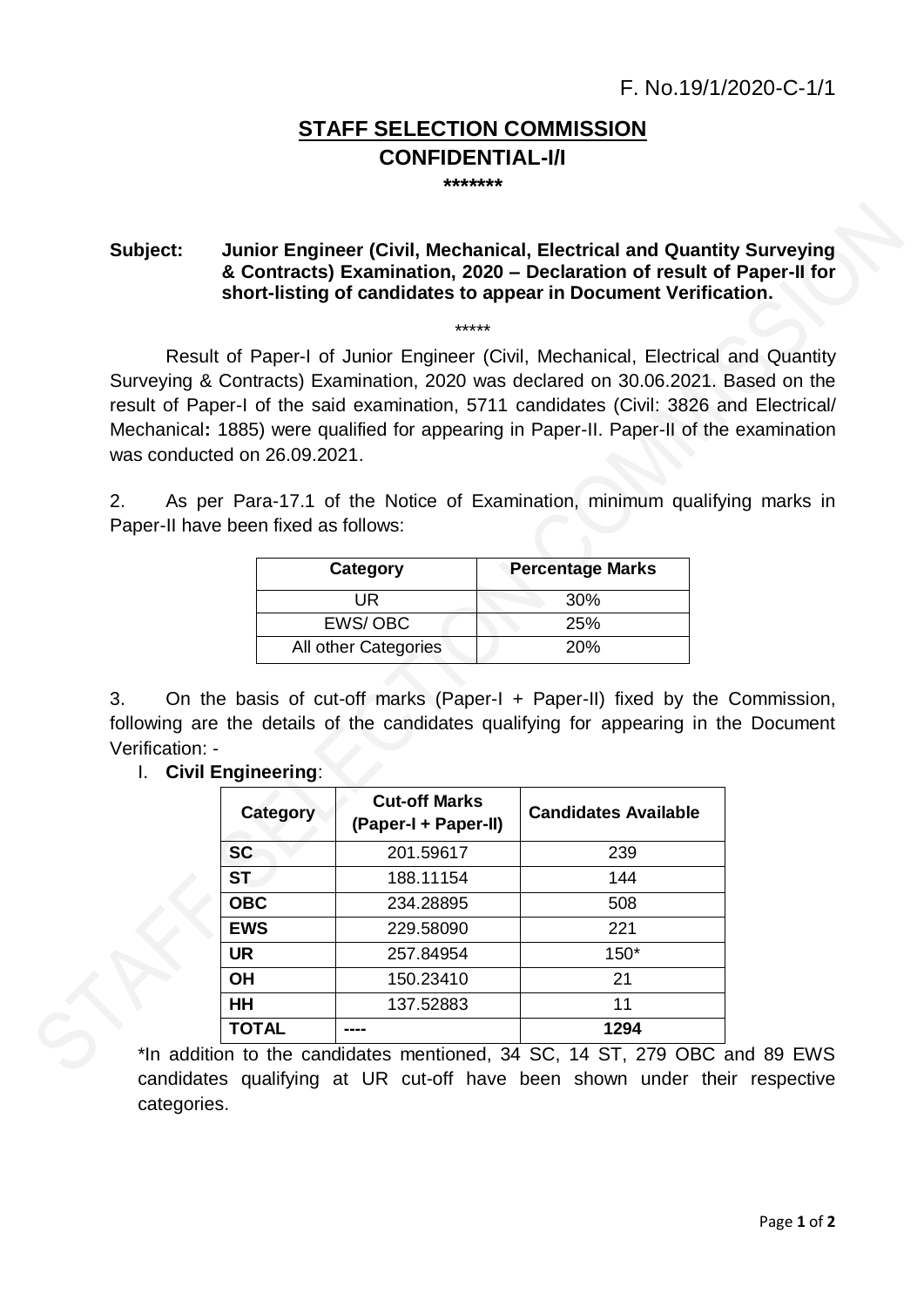## **STAFF SELECTION COMMISSION CONFIDENTIAL-I/I**

**\*\*\*\*\*\*\***

## **Subject: Junior Engineer (Civil, Mechanical, Electrical and Quantity Surveying & Contracts) Examination, 2020 – Declaration of result of Paper-II for short-listing of candidates to appear in Document Verification.**

## \*\*\*\*\*

Result of Paper-I of Junior Engineer (Civil, Mechanical, Electrical and Quantity Surveying & Contracts) Examination, 2020 was declared on 30.06.2021. Based on the result of Paper-I of the said examination, 5711 candidates (Civil: 3826 and Electrical/ Mechanical**:** 1885) were qualified for appearing in Paper-II. Paper-II of the examination was conducted on 26.09.2021.

2. As per Para-17.1 of the Notice of Examination, minimum qualifying marks in Paper-II have been fixed as follows:

| Category             | <b>Percentage Marks</b> |
|----------------------|-------------------------|
| UR                   | 30 <sup>%</sup>         |
| EWS/OBC              | 25%                     |
| All other Categories | <b>20%</b>              |

3. On the basis of cut-off marks (Paper-I + Paper-II) fixed by the Commission, following are the details of the candidates qualifying for appearing in the Document Verification: -

I. **Civil Engineering**:

| Category     | <b>Cut-off Marks</b><br>(Paper-I + Paper-II) | <b>Candidates Available</b> |
|--------------|----------------------------------------------|-----------------------------|
| <b>SC</b>    | 201.59617                                    | 239                         |
| <b>ST</b>    | 188.11154                                    | 144                         |
| <b>OBC</b>   | 234.28895                                    | 508                         |
| <b>EWS</b>   | 229.58090                                    | 221                         |
| <b>UR</b>    | 257.84954                                    | $150*$                      |
| OН           | 150.23410                                    | 21                          |
| HН           | 137.52883                                    | 11                          |
| <b>TOTAL</b> |                                              | 1294                        |

\*In addition to the candidates mentioned, 34 SC, 14 ST, 279 OBC and 89 EWS candidates qualifying at UR cut-off have been shown under their respective categories.